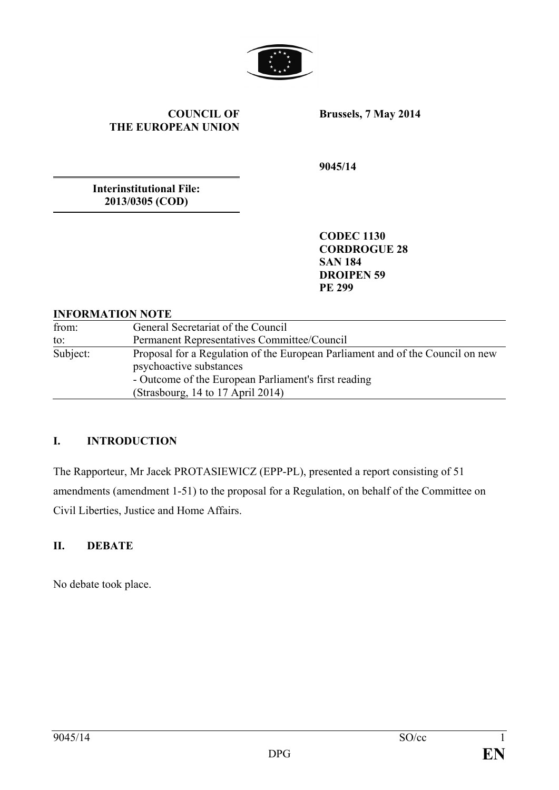

### **COUNCIL OF THE EUROPEAN UNION**

**Brussels, 7 May 2014**

**9045/14**

**Interinstitutional File: 2013/0305 (COD)**

> **CODEC 1130 CORDROGUE 28 SAN 184 DROIPEN 59 PE 299**

## **INFORMATION NOTE**

| from:    | General Secretariat of the Council                                                                                                                                |
|----------|-------------------------------------------------------------------------------------------------------------------------------------------------------------------|
| to:      | Permanent Representatives Committee/Council                                                                                                                       |
| Subject: | Proposal for a Regulation of the European Parliament and of the Council on new<br>psychoactive substances<br>- Outcome of the European Parliament's first reading |
|          | (Strasbourg, 14 to 17 April 2014)                                                                                                                                 |

# **I. INTRODUCTION**

The Rapporteur, Mr Jacek PROTASIEWICZ (EPP-PL), presented a report consisting of 51 amendments (amendment 1-51) to the proposal for a Regulation, on behalf of the Committee on Civil Liberties, Justice and Home Affairs.

# **II. DEBATE**

No debate took place.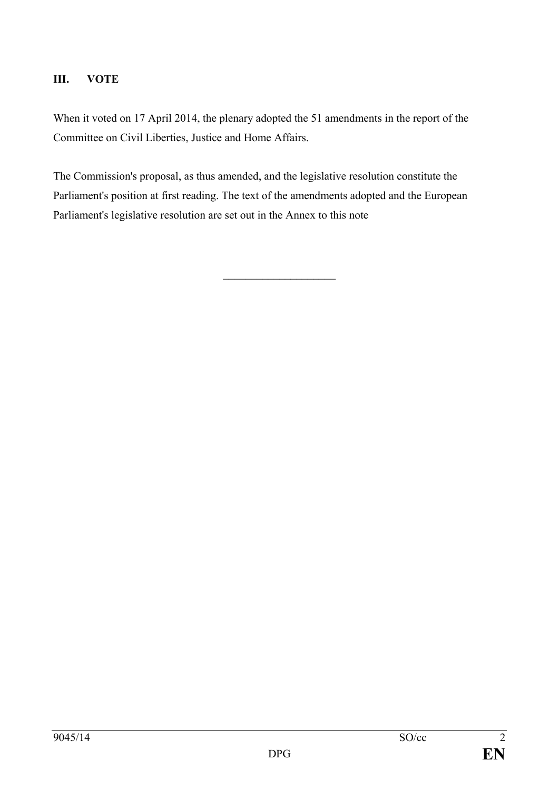# **III. VOTE**

When it voted on 17 April 2014, the plenary adopted the 51 amendments in the report of the Committee on Civil Liberties, Justice and Home Affairs.

The Commission's proposal, as thus amended, and the legislative resolution constitute the Parliament's position at first reading. The text of the amendments adopted and the European Parliament's legislative resolution are set out in the Annex to this note

 $\overline{\phantom{a}}$  , and the set of the set of the set of the set of the set of the set of the set of the set of the set of the set of the set of the set of the set of the set of the set of the set of the set of the set of the s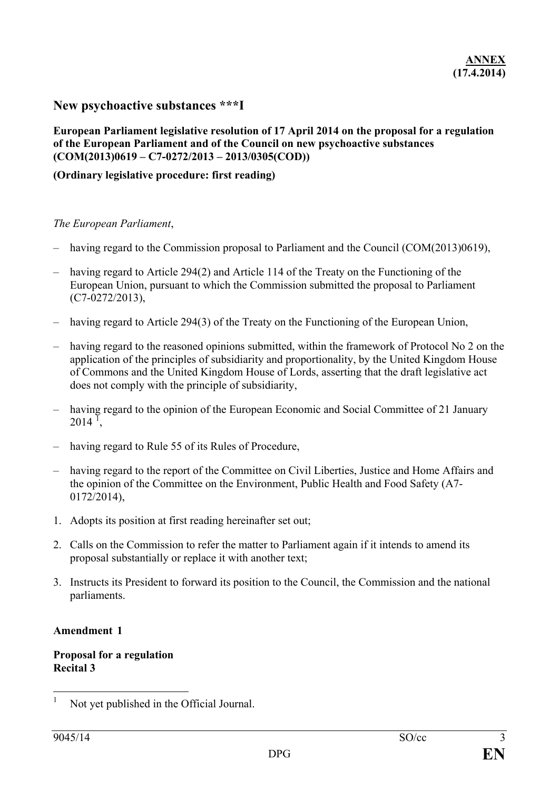# **New psychoactive substances \*\*\*I**

## **European Parliament legislative resolution of 17 April 2014 on the proposal for a regulation of the European Parliament and of the Council on new psychoactive substances (COM(2013)0619 – C7-0272/2013 – 2013/0305(COD))**

# **(Ordinary legislative procedure: first reading)**

### *The European Parliament*,

- having regard to the Commission proposal to Parliament and the Council (COM(2013)0619),
- having regard to Article 294(2) and Article 114 of the Treaty on the Functioning of the European Union, pursuant to which the Commission submitted the proposal to Parliament (C7-0272/2013),
- having regard to Article 294(3) of the Treaty on the Functioning of the European Union,
- having regard to the reasoned opinions submitted, within the framework of Protocol No 2 on the application of the principles of subsidiarity and proportionality, by the United Kingdom House of Commons and the United Kingdom House of Lords, asserting that the draft legislative act does not comply with the principle of subsidiarity,
- having regard to the opinion of the European Economic and Social Committee of 21 January  $2014$  $2014$  $2014$ <sup>T</sup>,
- having regard to Rule 55 of its Rules of Procedure,
- having regard to the report of the Committee on Civil Liberties, Justice and Home Affairs and the opinion of the Committee on the Environment, Public Health and Food Safety (A7- 0172/2014),
- 1. Adopts its position at first reading hereinafter set out;
- 2. Calls on the Commission to refer the matter to Parliament again if it intends to amend its proposal substantially or replace it with another text;
- 3. Instructs its President to forward its position to the Council, the Commission and the national parliaments.

#### **Amendment 1**

**Proposal for a regulation Recital 3**

<span id="page-2-0"></span>Not yet published in the Official Journal.  $\mathbf{1}$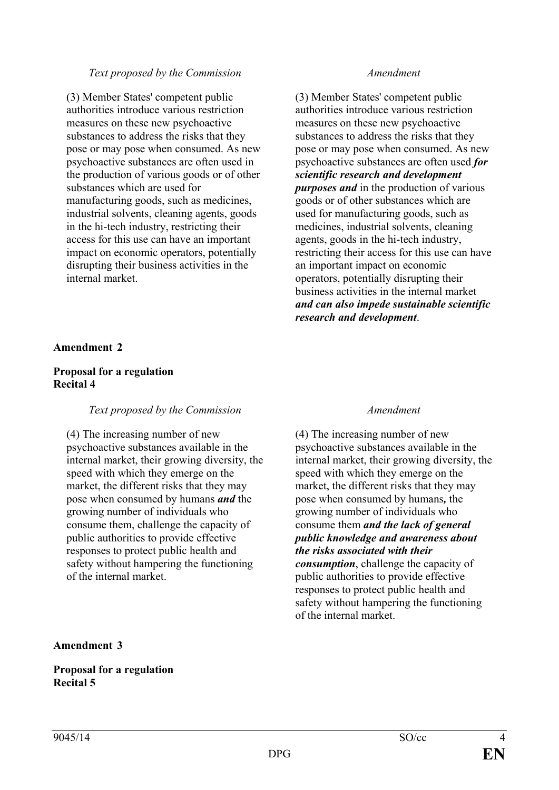(3) Member States' competent public authorities introduce various restriction measures on these new psychoactive substances to address the risks that they pose or may pose when consumed. As new psychoactive substances are often used in the production of various goods or of other substances which are used for manufacturing goods, such as medicines, industrial solvents, cleaning agents, goods in the hi-tech industry, restricting their access for this use can have an important impact on economic operators, potentially disrupting their business activities in the internal market.

(3) Member States' competent public authorities introduce various restriction measures on these new psychoactive substances to address the risks that they pose or may pose when consumed. As new psychoactive substances are often used *for scientific research and development purposes and* in the production of various goods or of other substances which are used for manufacturing goods, such as medicines, industrial solvents, cleaning agents, goods in the hi-tech industry, restricting their access for this use can have an important impact on economic operators, potentially disrupting their business activities in the internal market *and can also impede sustainable scientific research and development*.

### **Amendment 2**

### **Proposal for a regulation Recital 4**

## *Text proposed by the Commission Amendment*

(4) The increasing number of new psychoactive substances available in the internal market, their growing diversity, the speed with which they emerge on the market, the different risks that they may pose when consumed by humans *and* the growing number of individuals who consume them, challenge the capacity of public authorities to provide effective responses to protect public health and safety without hampering the functioning of the internal market.

(4) The increasing number of new psychoactive substances available in the internal market, their growing diversity, the speed with which they emerge on the market, the different risks that they may pose when consumed by humans*,* the growing number of individuals who consume them *and the lack of general public knowledge and awareness about the risks associated with their consumption*, challenge the capacity of public authorities to provide effective responses to protect public health and safety without hampering the functioning of the internal market.

#### **Amendment 3**

### **Proposal for a regulation Recital 5**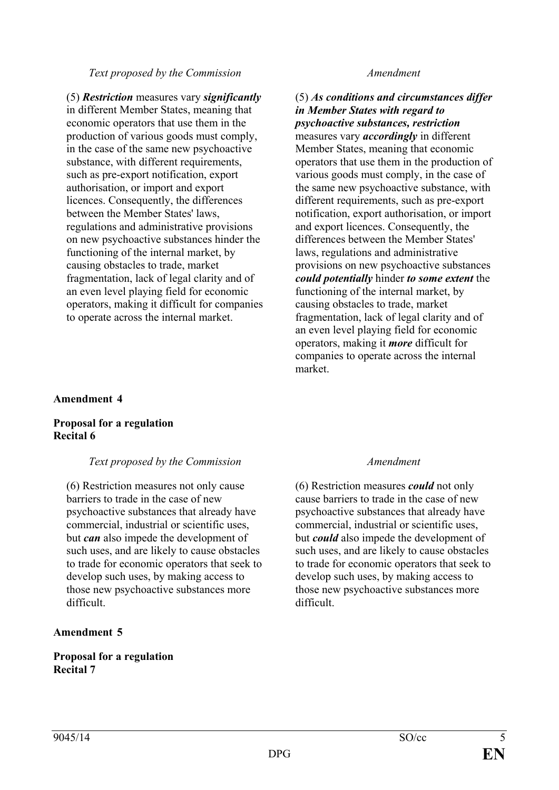## (5) *Restriction* measures vary *significantly* in different Member States, meaning that economic operators that use them in the production of various goods must comply, in the case of the same new psychoactive substance, with different requirements, such as pre-export notification, export authorisation, or import and export licences. Consequently, the differences between the Member States' laws, regulations and administrative provisions on new psychoactive substances hinder the functioning of the internal market, by causing obstacles to trade, market fragmentation, lack of legal clarity and of an even level playing field for economic operators, making it difficult for companies to operate across the internal market.

# (5) *As conditions and circumstances differ in Member States with regard to psychoactive substances, restriction*

measures vary *accordingly* in different Member States, meaning that economic operators that use them in the production of various goods must comply, in the case of the same new psychoactive substance, with different requirements, such as pre-export notification, export authorisation, or import and export licences. Consequently, the differences between the Member States' laws, regulations and administrative provisions on new psychoactive substances *could potentially* hinder *to some extent* the functioning of the internal market, by causing obstacles to trade, market fragmentation, lack of legal clarity and of an even level playing field for economic operators, making it *more* difficult for companies to operate across the internal market.

# **Amendment 4**

## **Proposal for a regulation Recital 6**

# *Text proposed by the Commission Amendment*

(6) Restriction measures not only cause barriers to trade in the case of new psychoactive substances that already have commercial, industrial or scientific uses, but *can* also impede the development of such uses, and are likely to cause obstacles to trade for economic operators that seek to develop such uses, by making access to those new psychoactive substances more difficult.

# **Amendment 5**

### **Proposal for a regulation Recital 7**

(6) Restriction measures *could* not only cause barriers to trade in the case of new psychoactive substances that already have commercial, industrial or scientific uses, but *could* also impede the development of such uses, and are likely to cause obstacles to trade for economic operators that seek to develop such uses, by making access to those new psychoactive substances more difficult.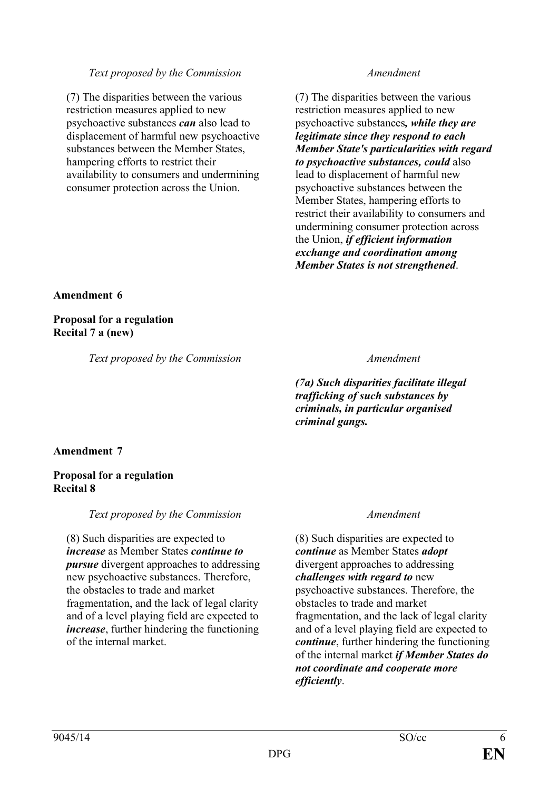(7) The disparities between the various restriction measures applied to new psychoactive substances *can* also lead to displacement of harmful new psychoactive substances between the Member States, hampering efforts to restrict their availability to consumers and undermining consumer protection across the Union.

(7) The disparities between the various restriction measures applied to new psychoactive substances*, while they are legitimate since they respond to each Member State's particularities with regard to psychoactive substances, could* also lead to displacement of harmful new psychoactive substances between the Member States, hampering efforts to restrict their availability to consumers and undermining consumer protection across the Union, *if efficient information exchange and coordination among Member States is not strengthened*.

# **Amendment 6**

**Proposal for a regulation Recital 7 a (new)**

*Text proposed by the Commission Amendment*

*(7a) Such disparities facilitate illegal trafficking of such substances by criminals, in particular organised criminal gangs.*

# **Amendment 7**

# **Proposal for a regulation Recital 8**

# *Text proposed by the Commission Amendment*

(8) Such disparities are expected to *increase* as Member States *continue to pursue* divergent approaches to addressing new psychoactive substances. Therefore, the obstacles to trade and market fragmentation, and the lack of legal clarity and of a level playing field are expected to *increase*, further hindering the functioning of the internal market.

(8) Such disparities are expected to *continue* as Member States *adopt* divergent approaches to addressing *challenges with regard to* new psychoactive substances. Therefore, the obstacles to trade and market fragmentation, and the lack of legal clarity and of a level playing field are expected to *continue*, further hindering the functioning of the internal market *if Member States do not coordinate and cooperate more efficiently*.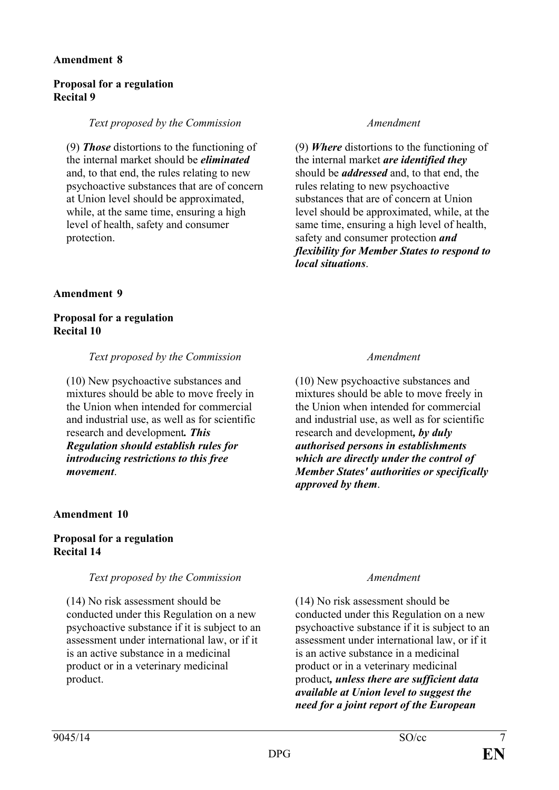## **Proposal for a regulation Recital 9**

### *Text proposed by the Commission Amendment*

(9) *Those* distortions to the functioning of the internal market should be *eliminated* and, to that end, the rules relating to new psychoactive substances that are of concern at Union level should be approximated, while, at the same time, ensuring a high level of health, safety and consumer protection.

### **Amendment 9**

### **Proposal for a regulation Recital 10**

#### *Text proposed by the Commission Amendment*

(10) New psychoactive substances and mixtures should be able to move freely in the Union when intended for commercial and industrial use, as well as for scientific research and development*. This Regulation should establish rules for introducing restrictions to this free movement*.

## **Amendment 10**

## **Proposal for a regulation Recital 14**

## *Text proposed by the Commission Amendment*

(14) No risk assessment should be conducted under this Regulation on a new psychoactive substance if it is subject to an assessment under international law, or if it is an active substance in a medicinal product or in a veterinary medicinal product.

(9) *Where* distortions to the functioning of the internal market *are identified they* should be *addressed* and, to that end, the rules relating to new psychoactive substances that are of concern at Union level should be approximated, while, at the same time, ensuring a high level of health, safety and consumer protection *and flexibility for Member States to respond to local situations*.

(10) New psychoactive substances and mixtures should be able to move freely in the Union when intended for commercial and industrial use, as well as for scientific research and development*, by duly authorised persons in establishments which are directly under the control of Member States' authorities or specifically approved by them*.

(14) No risk assessment should be conducted under this Regulation on a new psychoactive substance if it is subject to an assessment under international law, or if it is an active substance in a medicinal product or in a veterinary medicinal product*, unless there are sufficient data available at Union level to suggest the need for a joint report of the European*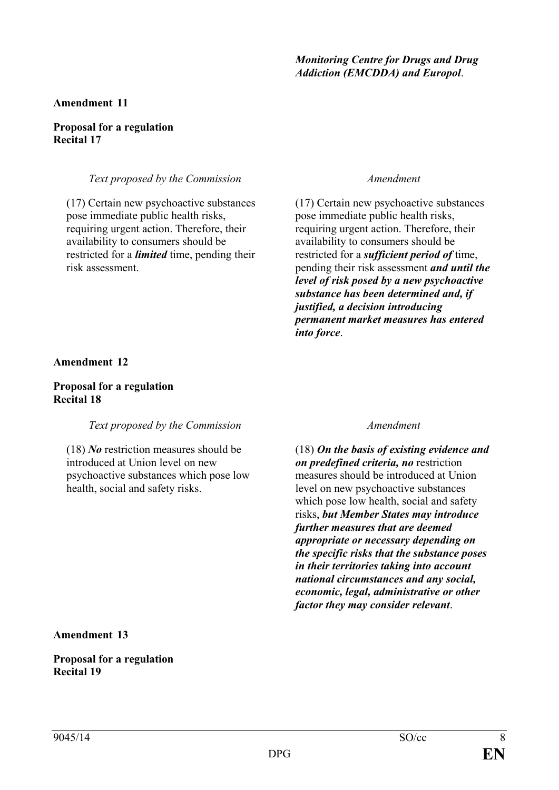## *Monitoring Centre for Drugs and Drug Addiction (EMCDDA) and Europol*.

### **Amendment 11**

#### **Proposal for a regulation Recital 17**

### *Text proposed by the Commission Amendment*

(17) Certain new psychoactive substances pose immediate public health risks, requiring urgent action. Therefore, their availability to consumers should be restricted for a *limited* time, pending their risk assessment.

(17) Certain new psychoactive substances pose immediate public health risks, requiring urgent action. Therefore, their availability to consumers should be restricted for a *sufficient period of* time, pending their risk assessment *and until the level of risk posed by a new psychoactive substance has been determined and, if justified, a decision introducing permanent market measures has entered into force*.

### **Amendment 12**

### **Proposal for a regulation Recital 18**

## *Text proposed by the Commission Amendment*

(18) *No* restriction measures should be introduced at Union level on new psychoactive substances which pose low health, social and safety risks.

(18) *On the basis of existing evidence and on predefined criteria, no* restriction measures should be introduced at Union level on new psychoactive substances which pose low health, social and safety risks, *but Member States may introduce further measures that are deemed appropriate or necessary depending on the specific risks that the substance poses in their territories taking into account national circumstances and any social, economic, legal, administrative or other factor they may consider relevant*.

**Amendment 13**

**Proposal for a regulation Recital 19**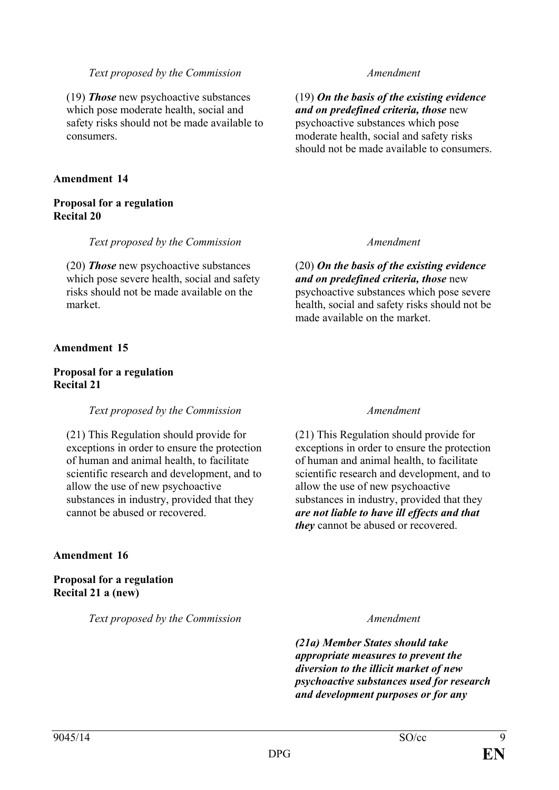(19) *Those* new psychoactive substances which pose moderate health, social and safety risks should not be made available to consumers.

### **Amendment 14**

### **Proposal for a regulation Recital 20**

### *Text proposed by the Commission Amendment*

(20) *Those* new psychoactive substances which pose severe health, social and safety risks should not be made available on the market.

## **Amendment 15**

### **Proposal for a regulation Recital 21**

## *Text proposed by the Commission Amendment*

(21) This Regulation should provide for exceptions in order to ensure the protection of human and animal health, to facilitate scientific research and development, and to allow the use of new psychoactive substances in industry, provided that they cannot be abused or recovered.

## **Amendment 16**

**Proposal for a regulation Recital 21 a (new)**

*Text proposed by the Commission Amendment*

(19) *On the basis of the existing evidence and on predefined criteria, those* new psychoactive substances which pose moderate health, social and safety risks should not be made available to consumers.

(20) *On the basis of the existing evidence and on predefined criteria, those* new psychoactive substances which pose severe health, social and safety risks should not be made available on the market.

(21) This Regulation should provide for exceptions in order to ensure the protection of human and animal health, to facilitate scientific research and development, and to allow the use of new psychoactive substances in industry, provided that they *are not liable to have ill effects and that they* cannot be abused or recovered.

*(21a) Member States should take appropriate measures to prevent the diversion to the illicit market of new psychoactive substances used for research and development purposes or for any*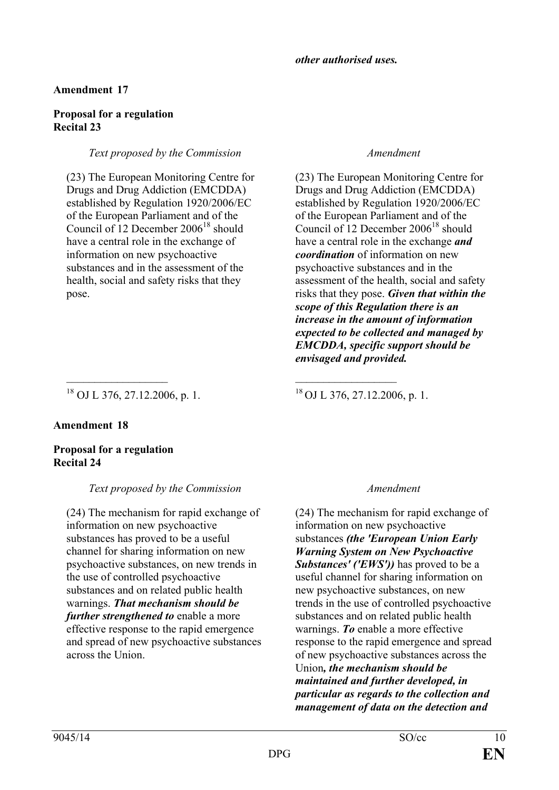# **Proposal for a regulation Recital 23**

# *Text proposed by the Commission Amendment*

(23) The European Monitoring Centre for Drugs and Drug Addiction (EMCDDA) established by Regulation 1920/2006/EC of the European Parliament and of the Council of 12 December  $2006^{18}$  should have a central role in the exchange of information on new psychoactive substances and in the assessment of the health, social and safety risks that they pose.

(23) The European Monitoring Centre for Drugs and Drug Addiction (EMCDDA) established by Regulation 1920/2006/EC of the European Parliament and of the Council of 12 December  $2006^{18}$  should have a central role in the exchange *and coordination* of information on new psychoactive substances and in the assessment of the health, social and safety risks that they pose. *Given that within the scope of this Regulation there is an increase in the amount of information expected to be collected and managed by EMCDDA, specific support should be envisaged and provided.*

<sup>18</sup> OJ L 376, 27.12.2006, p. 1. <sup>18</sup> OJ L 376, 27.12.2006, p. 1.

# **Amendment 18**

# **Proposal for a regulation Recital 24**

# *Text proposed by the Commission Amendment*

\_\_\_\_\_\_\_\_\_\_\_\_\_\_\_\_\_\_ \_\_\_\_\_\_\_\_\_\_\_\_\_\_\_\_\_\_

(24) The mechanism for rapid exchange of information on new psychoactive substances has proved to be a useful channel for sharing information on new psychoactive substances, on new trends in the use of controlled psychoactive substances and on related public health warnings. *That mechanism should be further strengthened to* enable a more effective response to the rapid emergence and spread of new psychoactive substances across the Union.

(24) The mechanism for rapid exchange of information on new psychoactive substances *(the 'European Union Early Warning System on New Psychoactive Substances' ('EWS'))* has proved to be a useful channel for sharing information on new psychoactive substances, on new trends in the use of controlled psychoactive substances and on related public health warnings. *To* enable a more effective response to the rapid emergence and spread of new psychoactive substances across the Union*, the mechanism should be maintained and further developed, in particular as regards to the collection and management of data on the detection and*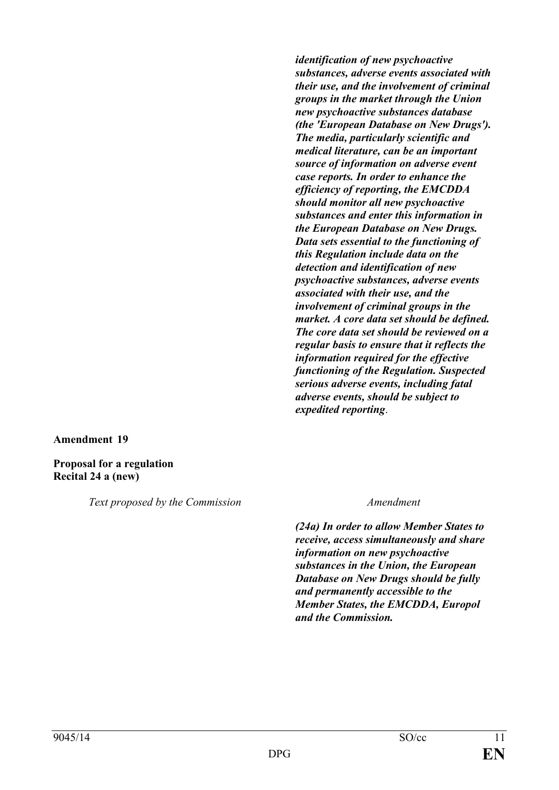*identification of new psychoactive substances, adverse events associated with their use, and the involvement of criminal groups in the market through the Union new psychoactive substances database (the 'European Database on New Drugs'). The media, particularly scientific and medical literature, can be an important source of information on adverse event case reports. In order to enhance the efficiency of reporting, the EMCDDA should monitor all new psychoactive substances and enter this information in the European Database on New Drugs. Data sets essential to the functioning of this Regulation include data on the detection and identification of new psychoactive substances, adverse events associated with their use, and the involvement of criminal groups in the market. A core data set should be defined. The core data set should be reviewed on a regular basis to ensure that it reflects the information required for the effective functioning of the Regulation. Suspected serious adverse events, including fatal adverse events, should be subject to expedited reporting*.

#### **Amendment 19**

**Proposal for a regulation Recital 24 a (new)**

*Text proposed by the Commission Amendment*

*(24a) In order to allow Member States to receive, access simultaneously and share information on new psychoactive substances in the Union, the European Database on New Drugs should be fully and permanently accessible to the Member States, the EMCDDA, Europol and the Commission.*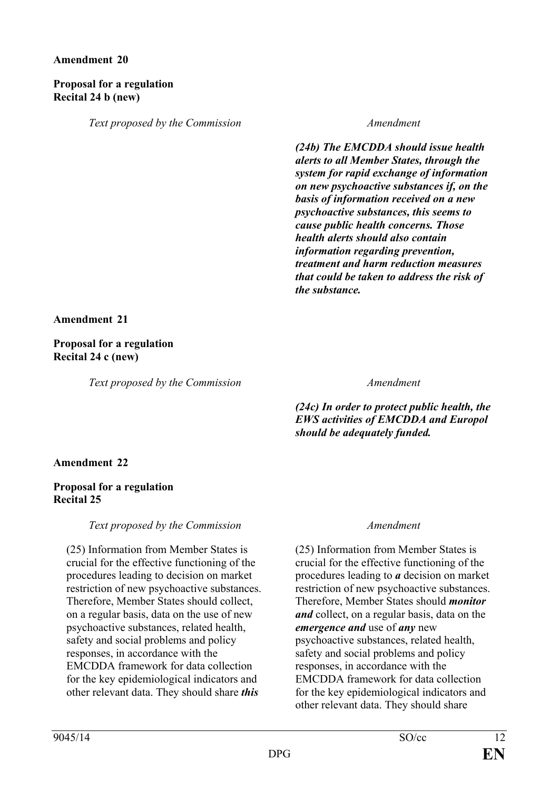## **Proposal for a regulation Recital 24 b (new)**

*Text proposed by the Commission Amendment*

*(24b) The EMCDDA should issue health alerts to all Member States, through the system for rapid exchange of information on new psychoactive substances if, on the basis of information received on a new psychoactive substances, this seems to cause public health concerns. Those health alerts should also contain information regarding prevention, treatment and harm reduction measures that could be taken to address the risk of the substance.*

**Amendment 21**

**Proposal for a regulation Recital 24 c (new)**

*Text proposed by the Commission Amendment*

*(24c) In order to protect public health, the EWS activities of EMCDDA and Europol should be adequately funded.*

# **Amendment 22**

## **Proposal for a regulation Recital 25**

*Text proposed by the Commission Amendment*

(25) Information from Member States is crucial for the effective functioning of the procedures leading to decision on market restriction of new psychoactive substances. Therefore, Member States should collect, on a regular basis, data on the use of new psychoactive substances, related health, safety and social problems and policy responses, in accordance with the EMCDDA framework for data collection for the key epidemiological indicators and other relevant data. They should share *this*

(25) Information from Member States is crucial for the effective functioning of the procedures leading to *a* decision on market restriction of new psychoactive substances. Therefore, Member States should *monitor and* collect, on a regular basis, data on the *emergence and* use of *any* new psychoactive substances, related health, safety and social problems and policy responses, in accordance with the EMCDDA framework for data collection for the key epidemiological indicators and other relevant data. They should share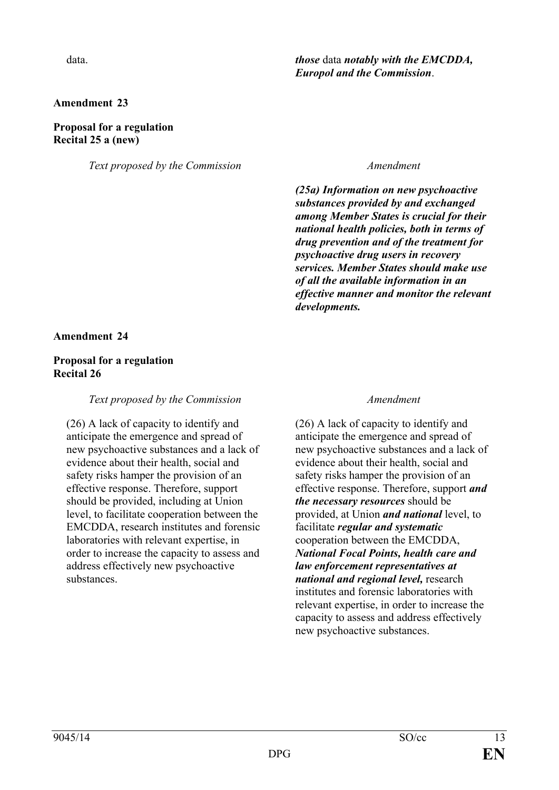### **Proposal for a regulation Recital 25 a (new)**

*Text proposed by the Commission Amendment*

# data. *those* data *notably with the EMCDDA, Europol and the Commission*.

*(25a) Information on new psychoactive substances provided by and exchanged among Member States is crucial for their national health policies, both in terms of drug prevention and of the treatment for psychoactive drug users in recovery services. Member States should make use of all the available information in an effective manner and monitor the relevant developments.* 

### **Amendment 24**

### **Proposal for a regulation Recital 26**

### *Text proposed by the Commission Amendment*

(26) A lack of capacity to identify and anticipate the emergence and spread of new psychoactive substances and a lack of evidence about their health, social and safety risks hamper the provision of an effective response. Therefore, support should be provided, including at Union level, to facilitate cooperation between the EMCDDA, research institutes and forensic laboratories with relevant expertise, in order to increase the capacity to assess and address effectively new psychoactive substances.

(26) A lack of capacity to identify and anticipate the emergence and spread of new psychoactive substances and a lack of evidence about their health, social and safety risks hamper the provision of an effective response. Therefore, support *and the necessary resources* should be provided, at Union *and national* level, to facilitate *regular and systematic* cooperation between the EMCDDA, *National Focal Points, health care and law enforcement representatives at national and regional level,* research institutes and forensic laboratories with relevant expertise, in order to increase the capacity to assess and address effectively new psychoactive substances.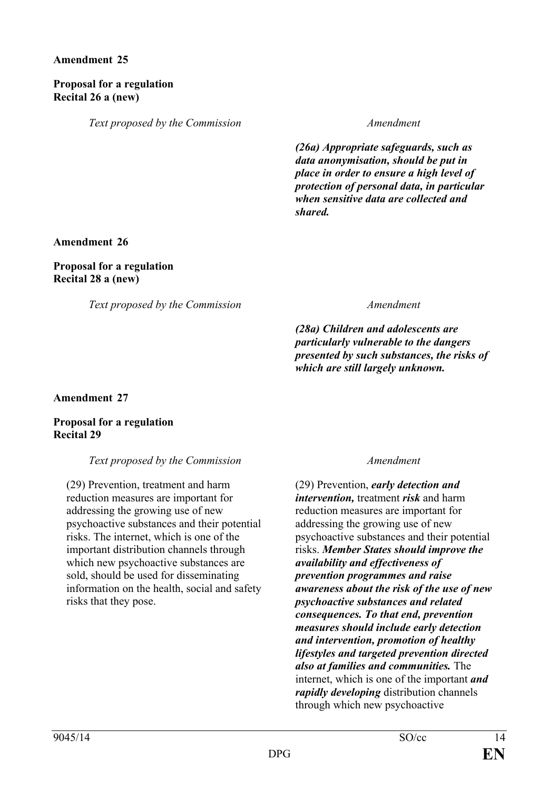## **Proposal for a regulation Recital 26 a (new)**

*Text proposed by the Commission Amendment*

*(26a) Appropriate safeguards, such as data anonymisation, should be put in place in order to ensure a high level of protection of personal data, in particular when sensitive data are collected and shared.*

# **Amendment 26**

# **Proposal for a regulation Recital 28 a (new)**

*Text proposed by the Commission Amendment*

*(28a) Children and adolescents are particularly vulnerable to the dangers presented by such substances, the risks of which are still largely unknown.*

**Amendment 27**

## **Proposal for a regulation Recital 29**

## *Text proposed by the Commission Amendment*

(29) Prevention, treatment and harm reduction measures are important for addressing the growing use of new psychoactive substances and their potential risks. The internet, which is one of the important distribution channels through which new psychoactive substances are sold, should be used for disseminating information on the health, social and safety risks that they pose.

(29) Prevention, *early detection and intervention,* treatment *risk* and harm reduction measures are important for addressing the growing use of new psychoactive substances and their potential risks. *Member States should improve the availability and effectiveness of prevention programmes and raise awareness about the risk of the use of new psychoactive substances and related consequences. To that end, prevention measures should include early detection and intervention, promotion of healthy lifestyles and targeted prevention directed also at families and communities.* The internet, which is one of the important *and rapidly developing* distribution channels through which new psychoactive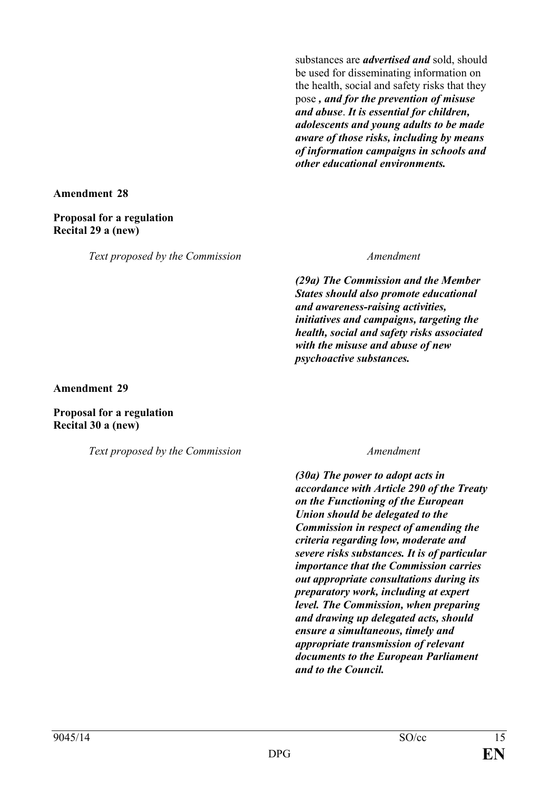substances are *advertised and* sold, should be used for disseminating information on the health, social and safety risks that they pose *, and for the prevention of misuse and abuse*. *It is essential for children, adolescents and young adults to be made aware of those risks, including by means of information campaigns in schools and other educational environments.*

**Amendment 28**

### **Proposal for a regulation Recital 29 a (new)**

*Text proposed by the Commission Amendment*

*(29a) The Commission and the Member States should also promote educational and awareness-raising activities, initiatives and campaigns, targeting the health, social and safety risks associated with the misuse and abuse of new psychoactive substances.* 

**Amendment 29**

**Proposal for a regulation Recital 30 a (new)**

*Text proposed by the Commission Amendment*

*(30a) The power to adopt acts in accordance with Article 290 of the Treaty on the Functioning of the European Union should be delegated to the Commission in respect of amending the criteria regarding low, moderate and severe risks substances. It is of particular importance that the Commission carries out appropriate consultations during its preparatory work, including at expert level. The Commission, when preparing and drawing up delegated acts, should ensure a simultaneous, timely and appropriate transmission of relevant documents to the European Parliament and to the Council.*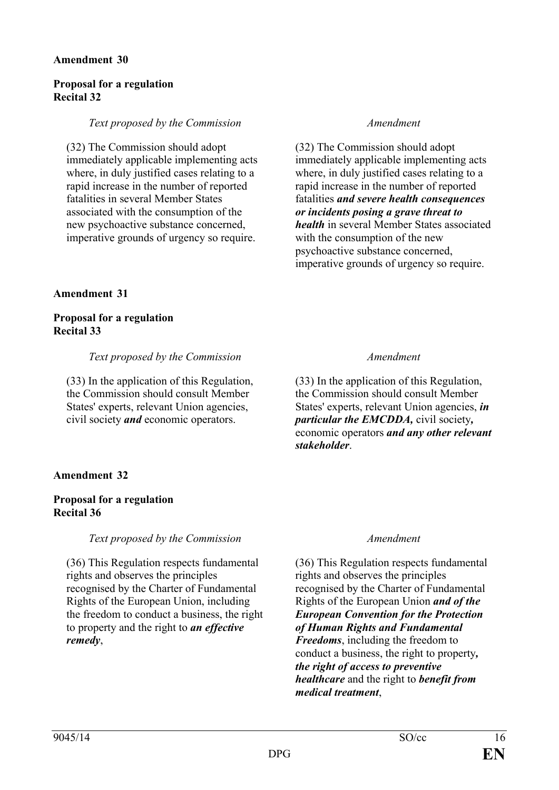## **Proposal for a regulation Recital 32**

### *Text proposed by the Commission Amendment*

(32) The Commission should adopt immediately applicable implementing acts where, in duly justified cases relating to a rapid increase in the number of reported fatalities in several Member States associated with the consumption of the new psychoactive substance concerned, imperative grounds of urgency so require.

### **Amendment 31**

### **Proposal for a regulation Recital 33**

*Text proposed by the Commission Amendment*

(33) In the application of this Regulation, the Commission should consult Member States' experts, relevant Union agencies, civil society *and* economic operators.

# **Amendment 32**

## **Proposal for a regulation Recital 36**

*Text proposed by the Commission Amendment*

(36) This Regulation respects fundamental rights and observes the principles recognised by the Charter of Fundamental Rights of the European Union, including the freedom to conduct a business, the right to property and the right to *an effective remedy*,

(32) The Commission should adopt immediately applicable implementing acts where, in duly justified cases relating to a rapid increase in the number of reported fatalities *and severe health consequences or incidents posing a grave threat to health* in several Member States associated with the consumption of the new psychoactive substance concerned, imperative grounds of urgency so require.

(33) In the application of this Regulation, the Commission should consult Member States' experts, relevant Union agencies, *in particular the EMCDDA,* civil society*,*  economic operators *and any other relevant stakeholder*.

(36) This Regulation respects fundamental rights and observes the principles recognised by the Charter of Fundamental Rights of the European Union *and of the European Convention for the Protection of Human Rights and Fundamental Freedoms*, including the freedom to conduct a business, the right to property*, the right of access to preventive healthcare* and the right to *benefit from medical treatment*,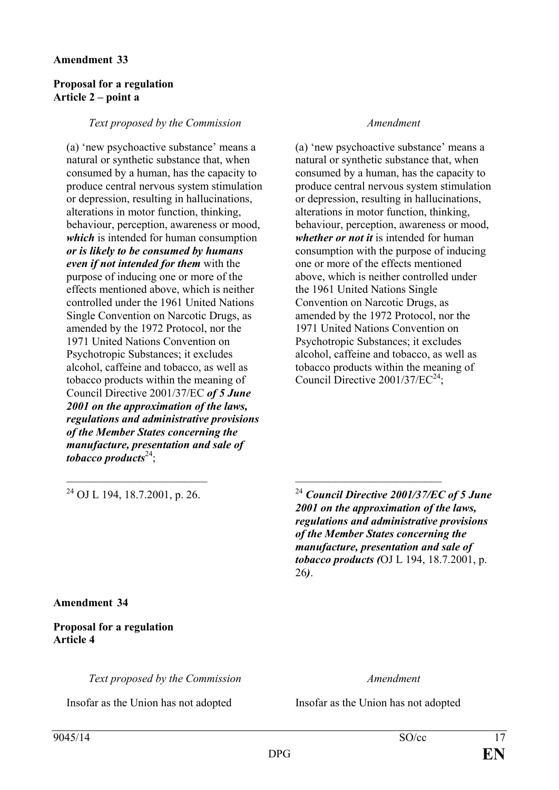### **Proposal for a regulation Article 2 – point a**

#### *Text proposed by the Commission Amendment*

(a) 'new psychoactive substance' means a natural or synthetic substance that, when consumed by a human, has the capacity to produce central nervous system stimulation or depression, resulting in hallucinations, alterations in motor function, thinking, behaviour, perception, awareness or mood, *which* is intended for human consumption *or is likely to be consumed by humans even if not intended for them* with the purpose of inducing one or more of the effects mentioned above, which is neither controlled under the 1961 United Nations Single Convention on Narcotic Drugs, as amended by the 1972 Protocol, nor the 1971 United Nations Convention on Psychotropic Substances; it excludes alcohol, caffeine and tobacco, as well as tobacco products within the meaning of Council Directive 2001/37/EC *of 5 June 2001 on the approximation of the laws, regulations and administrative provisions of the Member States concerning the manufacture, presentation and sale of tobacco products*24;

(a) 'new psychoactive substance' means a natural or synthetic substance that, when consumed by a human, has the capacity to produce central nervous system stimulation or depression, resulting in hallucinations, alterations in motor function, thinking, behaviour, perception, awareness or mood, *whether or not it* is intended for human consumption with the purpose of inducing one or more of the effects mentioned above, which is neither controlled under the 1961 United Nations Single Convention on Narcotic Drugs, as amended by the 1972 Protocol, nor the 1971 United Nations Convention on Psychotropic Substances; it excludes alcohol, caffeine and tobacco, as well as tobacco products within the meaning of Council Directive 2001/37/EC<sup>24</sup>:

<sup>24</sup> OJ L 194, 18.7.2001, p. 26. <sup>24</sup> *Council Directive 2001/37/EC of 5 June 2001 on the approximation of the laws, regulations and administrative provisions of the Member States concerning the manufacture, presentation and sale of tobacco products (*OJ L 194, 18.7.2001, p. 26*)*.

**Amendment 34**

## **Proposal for a regulation Article 4**

*Text proposed by the Commission Amendment*

Insofar as the Union has not adopted Insofar as the Union has not adopted

 $\_$  , and the contribution of the contribution of  $\mathcal{L}_\mathcal{A}$  , and the contribution of  $\mathcal{L}_\mathcal{A}$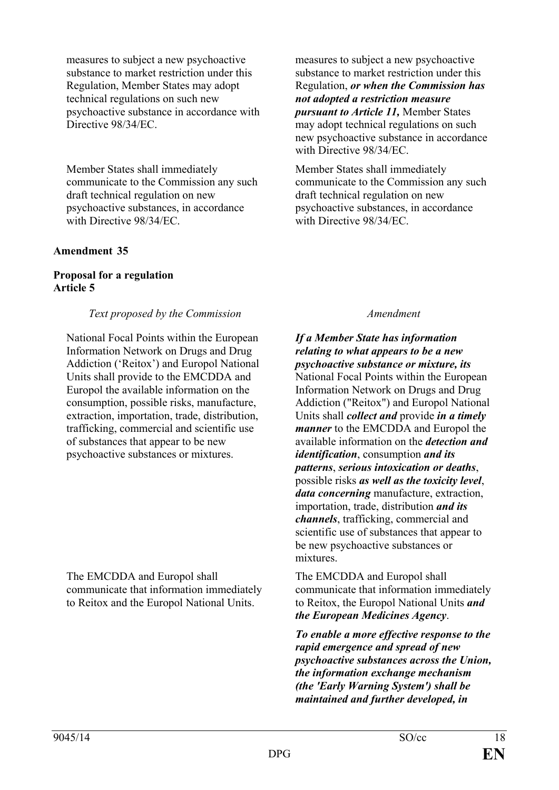measures to subject a new psychoactive substance to market restriction under this Regulation, Member States may adopt technical regulations on such new psychoactive substance in accordance with Directive  $98/34/EC$ .

Member States shall immediately communicate to the Commission any such draft technical regulation on new psychoactive substances, in accordance with Directive 98/34/EC.

## **Amendment 35**

# **Proposal for a regulation Article 5**

## *Text proposed by the Commission Amendment*

National Focal Points within the European Information Network on Drugs and Drug Addiction ('Reitox') and Europol National Units shall provide to the EMCDDA and Europol the available information on the consumption, possible risks, manufacture, extraction, importation, trade, distribution, trafficking, commercial and scientific use of substances that appear to be new psychoactive substances or mixtures.

The EMCDDA and Europol shall communicate that information immediately to Reitox and the Europol National Units.

measures to subject a new psychoactive substance to market restriction under this Regulation, *or when the Commission has not adopted a restriction measure pursuant to Article 11,* Member States may adopt technical regulations on such new psychoactive substance in accordance with Directive 98/34/EC.

Member States shall immediately communicate to the Commission any such draft technical regulation on new psychoactive substances, in accordance with Directive 98/34/EC.

*If a Member State has information relating to what appears to be a new psychoactive substance or mixture, its* National Focal Points within the European Information Network on Drugs and Drug Addiction ("Reitox") and Europol National Units shall *collect and* provide *in a timely manner* to the EMCDDA and Europol the available information on the *detection and identification*, consumption *and its patterns*, *serious intoxication or deaths*, possible risks *as well as the toxicity level*, *data concerning* manufacture, extraction, importation, trade, distribution *and its channels*, trafficking, commercial and scientific use of substances that appear to be new psychoactive substances or mixtures.

The EMCDDA and Europol shall communicate that information immediately to Reitox, the Europol National Units *and the European Medicines Agency*.

*To enable a more effective response to the rapid emergence and spread of new psychoactive substances across the Union, the information exchange mechanism (the 'Early Warning System') shall be maintained and further developed, in*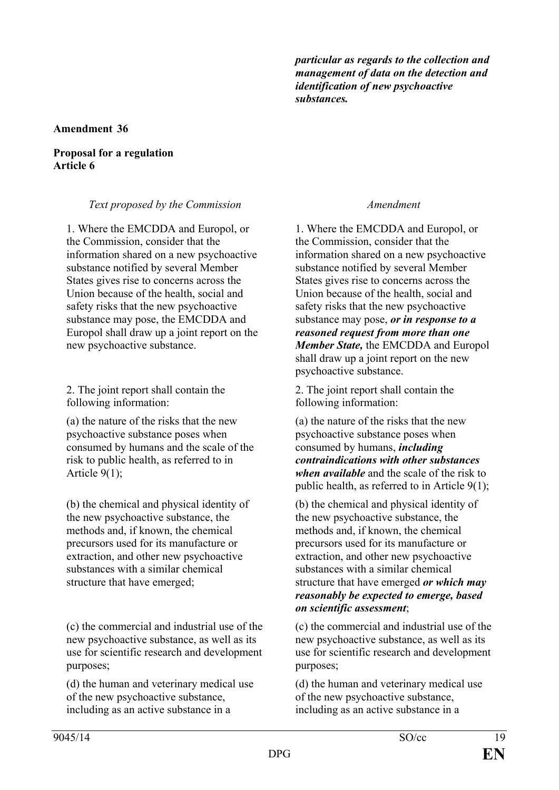*particular as regards to the collection and management of data on the detection and identification of new psychoactive substances.*

### **Amendment 36**

### **Proposal for a regulation Article 6**

## *Text proposed by the Commission Amendment*

1. Where the EMCDDA and Europol, or the Commission, consider that the information shared on a new psychoactive substance notified by several Member States gives rise to concerns across the Union because of the health, social and safety risks that the new psychoactive substance may pose, the EMCDDA and Europol shall draw up a joint report on the new psychoactive substance.

2. The joint report shall contain the following information:

(a) the nature of the risks that the new psychoactive substance poses when consumed by humans and the scale of the risk to public health, as referred to in Article 9(1);

(b) the chemical and physical identity of the new psychoactive substance, the methods and, if known, the chemical precursors used for its manufacture or extraction, and other new psychoactive substances with a similar chemical structure that have emerged;

(c) the commercial and industrial use of the new psychoactive substance, as well as its use for scientific research and development purposes;

(d) the human and veterinary medical use of the new psychoactive substance, including as an active substance in a

1. Where the EMCDDA and Europol, or the Commission, consider that the information shared on a new psychoactive substance notified by several Member States gives rise to concerns across the Union because of the health, social and safety risks that the new psychoactive substance may pose, *or in response to a reasoned request from more than one Member State,* the EMCDDA and Europol shall draw up a joint report on the new psychoactive substance.

2. The joint report shall contain the following information:

(a) the nature of the risks that the new psychoactive substance poses when consumed by humans, *including contraindications with other substances when available* and the scale of the risk to public health, as referred to in Article 9(1);

(b) the chemical and physical identity of the new psychoactive substance, the methods and, if known, the chemical precursors used for its manufacture or extraction, and other new psychoactive substances with a similar chemical structure that have emerged *or which may reasonably be expected to emerge, based on scientific assessment*;

(c) the commercial and industrial use of the new psychoactive substance, as well as its use for scientific research and development purposes;

(d) the human and veterinary medical use of the new psychoactive substance, including as an active substance in a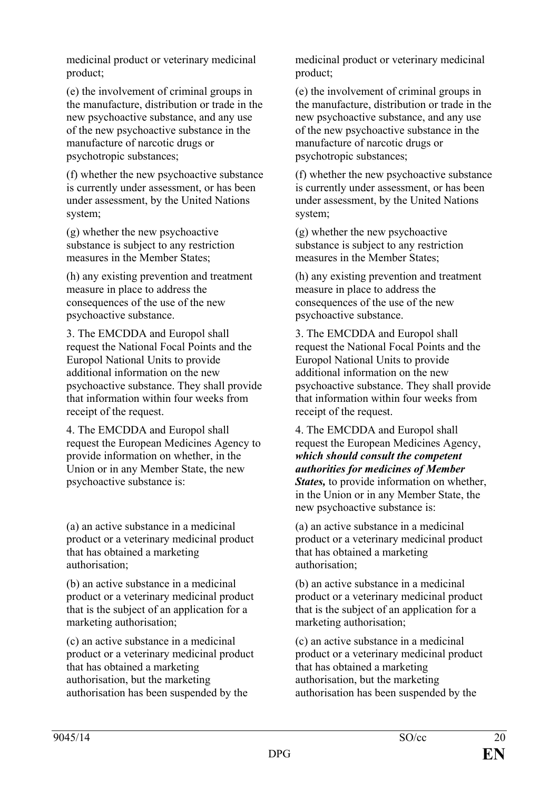medicinal product or veterinary medicinal product;

(e) the involvement of criminal groups in the manufacture, distribution or trade in the new psychoactive substance, and any use of the new psychoactive substance in the manufacture of narcotic drugs or psychotropic substances;

(f) whether the new psychoactive substance is currently under assessment, or has been under assessment, by the United Nations system;

(g) whether the new psychoactive substance is subject to any restriction measures in the Member States;

(h) any existing prevention and treatment measure in place to address the consequences of the use of the new psychoactive substance.

3. The EMCDDA and Europol shall request the National Focal Points and the Europol National Units to provide additional information on the new psychoactive substance. They shall provide that information within four weeks from receipt of the request.

4. The EMCDDA and Europol shall request the European Medicines Agency to provide information on whether, in the Union or in any Member State, the new psychoactive substance is:

(a) an active substance in a medicinal product or a veterinary medicinal product that has obtained a marketing authorisation;

(b) an active substance in a medicinal product or a veterinary medicinal product that is the subject of an application for a marketing authorisation;

(c) an active substance in a medicinal product or a veterinary medicinal product that has obtained a marketing authorisation, but the marketing authorisation has been suspended by the

medicinal product or veterinary medicinal product;

(e) the involvement of criminal groups in the manufacture, distribution or trade in the new psychoactive substance, and any use of the new psychoactive substance in the manufacture of narcotic drugs or psychotropic substances;

(f) whether the new psychoactive substance is currently under assessment, or has been under assessment, by the United Nations system;

(g) whether the new psychoactive substance is subject to any restriction measures in the Member States;

(h) any existing prevention and treatment measure in place to address the consequences of the use of the new psychoactive substance.

3. The EMCDDA and Europol shall request the National Focal Points and the Europol National Units to provide additional information on the new psychoactive substance. They shall provide that information within four weeks from receipt of the request.

4. The EMCDDA and Europol shall request the European Medicines Agency, *which should consult the competent authorities for medicines of Member States,* to provide information on whether, in the Union or in any Member State, the new psychoactive substance is:

(a) an active substance in a medicinal product or a veterinary medicinal product that has obtained a marketing authorisation;

(b) an active substance in a medicinal product or a veterinary medicinal product that is the subject of an application for a marketing authorisation;

(c) an active substance in a medicinal product or a veterinary medicinal product that has obtained a marketing authorisation, but the marketing authorisation has been suspended by the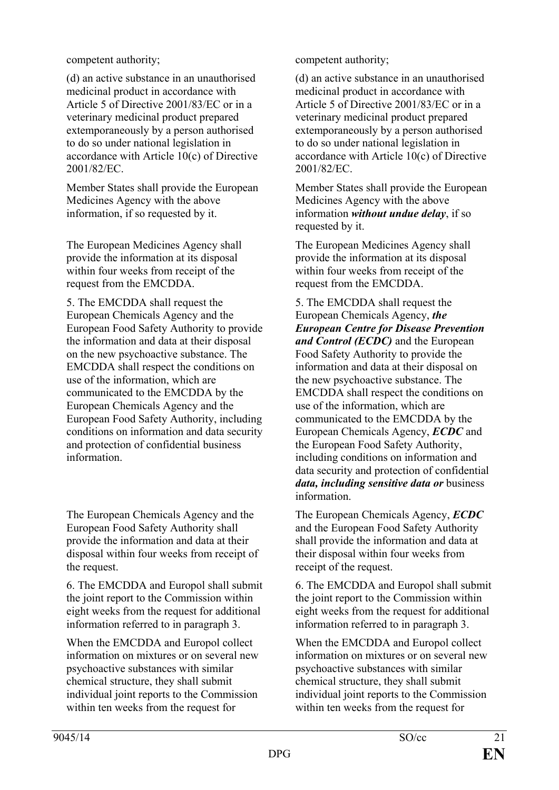(d) an active substance in an unauthorised medicinal product in accordance with Article 5 of Directive 2001/83/EC or in a veterinary medicinal product prepared extemporaneously by a person authorised to do so under national legislation in accordance with Article 10(c) of Directive 2001/82/EC.

Member States shall provide the European Medicines Agency with the above information, if so requested by it.

The European Medicines Agency shall provide the information at its disposal within four weeks from receipt of the request from the EMCDDA.

5. The EMCDDA shall request the European Chemicals Agency and the European Food Safety Authority to provide the information and data at their disposal on the new psychoactive substance. The EMCDDA shall respect the conditions on use of the information, which are communicated to the EMCDDA by the European Chemicals Agency and the European Food Safety Authority, including conditions on information and data security and protection of confidential business information.

The European Chemicals Agency and the European Food Safety Authority shall provide the information and data at their disposal within four weeks from receipt of the request.

6. The EMCDDA and Europol shall submit the joint report to the Commission within eight weeks from the request for additional information referred to in paragraph 3.

When the EMCDDA and Europol collect information on mixtures or on several new psychoactive substances with similar chemical structure, they shall submit individual joint reports to the Commission within ten weeks from the request for

competent authority; competent authority;

(d) an active substance in an unauthorised medicinal product in accordance with Article 5 of Directive 2001/83/EC or in a veterinary medicinal product prepared extemporaneously by a person authorised to do so under national legislation in accordance with Article 10(c) of Directive 2001/82/EC.

Member States shall provide the European Medicines Agency with the above information *without undue delay*, if so requested by it.

The European Medicines Agency shall provide the information at its disposal within four weeks from receipt of the request from the EMCDDA.

5. The EMCDDA shall request the European Chemicals Agency, *the European Centre for Disease Prevention and Control (ECDC)* and the European Food Safety Authority to provide the information and data at their disposal on the new psychoactive substance. The EMCDDA shall respect the conditions on use of the information, which are communicated to the EMCDDA by the European Chemicals Agency, *ECDC* and the European Food Safety Authority, including conditions on information and data security and protection of confidential *data, including sensitive data or* business information.

The European Chemicals Agency, *ECDC* and the European Food Safety Authority shall provide the information and data at their disposal within four weeks from receipt of the request.

6. The EMCDDA and Europol shall submit the joint report to the Commission within eight weeks from the request for additional information referred to in paragraph 3.

When the EMCDDA and Europol collect information on mixtures or on several new psychoactive substances with similar chemical structure, they shall submit individual joint reports to the Commission within ten weeks from the request for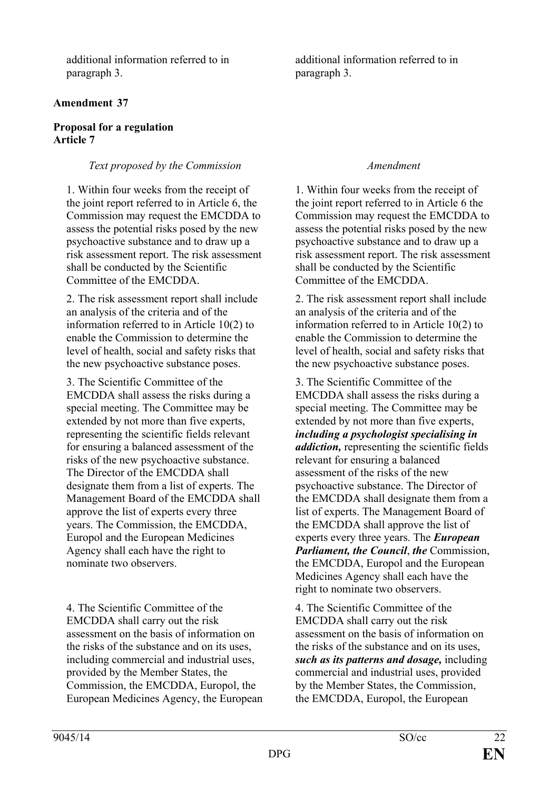additional information referred to in paragraph 3.

# **Amendment 37**

### **Proposal for a regulation Article 7**

# *Text proposed by the Commission Amendment*

1. Within four weeks from the receipt of the joint report referred to in Article 6, the Commission may request the EMCDDA to assess the potential risks posed by the new psychoactive substance and to draw up a risk assessment report. The risk assessment shall be conducted by the Scientific Committee of the EMCDDA.

2. The risk assessment report shall include an analysis of the criteria and of the information referred to in Article 10(2) to enable the Commission to determine the level of health, social and safety risks that the new psychoactive substance poses.

3. The Scientific Committee of the EMCDDA shall assess the risks during a special meeting. The Committee may be extended by not more than five experts, representing the scientific fields relevant for ensuring a balanced assessment of the risks of the new psychoactive substance. The Director of the EMCDDA shall designate them from a list of experts. The Management Board of the EMCDDA shall approve the list of experts every three years. The Commission, the EMCDDA, Europol and the European Medicines Agency shall each have the right to nominate two observers.

4. The Scientific Committee of the EMCDDA shall carry out the risk assessment on the basis of information on the risks of the substance and on its uses, including commercial and industrial uses, provided by the Member States, the Commission, the EMCDDA, Europol, the European Medicines Agency, the European additional information referred to in paragraph 3.

1. Within four weeks from the receipt of the joint report referred to in Article 6 the Commission may request the EMCDDA to assess the potential risks posed by the new psychoactive substance and to draw up a risk assessment report. The risk assessment shall be conducted by the Scientific Committee of the EMCDDA.

2. The risk assessment report shall include an analysis of the criteria and of the information referred to in Article 10(2) to enable the Commission to determine the level of health, social and safety risks that the new psychoactive substance poses.

3. The Scientific Committee of the EMCDDA shall assess the risks during a special meeting. The Committee may be extended by not more than five experts, *including a psychologist specialising in addiction,* representing the scientific fields relevant for ensuring a balanced assessment of the risks of the new psychoactive substance. The Director of the EMCDDA shall designate them from a list of experts. The Management Board of the EMCDDA shall approve the list of experts every three years. The *European Parliament, the Council*, *the* Commission, the EMCDDA, Europol and the European Medicines Agency shall each have the right to nominate two observers.

4. The Scientific Committee of the EMCDDA shall carry out the risk assessment on the basis of information on the risks of the substance and on its uses, *such as its patterns and dosage,* including commercial and industrial uses, provided by the Member States, the Commission, the EMCDDA, Europol, the European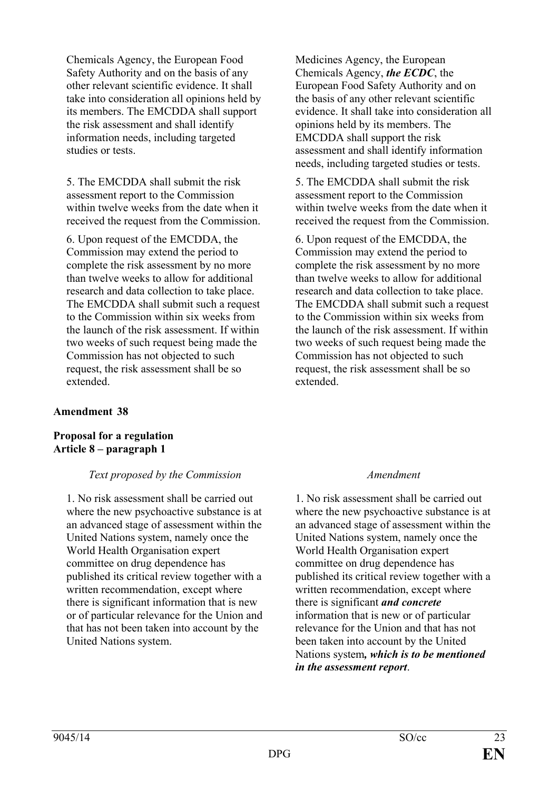Chemicals Agency, the European Food Safety Authority and on the basis of any other relevant scientific evidence. It shall take into consideration all opinions held by its members. The EMCDDA shall support the risk assessment and shall identify information needs, including targeted studies or tests.

5. The EMCDDA shall submit the risk assessment report to the Commission within twelve weeks from the date when it received the request from the Commission.

6. Upon request of the EMCDDA, the Commission may extend the period to complete the risk assessment by no more than twelve weeks to allow for additional research and data collection to take place. The EMCDDA shall submit such a request to the Commission within six weeks from the launch of the risk assessment. If within two weeks of such request being made the Commission has not objected to such request, the risk assessment shall be so extended.

## **Amendment 38**

### **Proposal for a regulation Article 8 – paragraph 1**

## *Text proposed by the Commission Amendment*

1. No risk assessment shall be carried out where the new psychoactive substance is at an advanced stage of assessment within the United Nations system, namely once the World Health Organisation expert committee on drug dependence has published its critical review together with a written recommendation, except where there is significant information that is new or of particular relevance for the Union and that has not been taken into account by the United Nations system.

Medicines Agency, the European Chemicals Agency, *the ECDC*, the European Food Safety Authority and on the basis of any other relevant scientific evidence. It shall take into consideration all opinions held by its members. The EMCDDA shall support the risk assessment and shall identify information needs, including targeted studies or tests.

5. The EMCDDA shall submit the risk assessment report to the Commission within twelve weeks from the date when it received the request from the Commission.

6. Upon request of the EMCDDA, the Commission may extend the period to complete the risk assessment by no more than twelve weeks to allow for additional research and data collection to take place. The EMCDDA shall submit such a request to the Commission within six weeks from the launch of the risk assessment. If within two weeks of such request being made the Commission has not objected to such request, the risk assessment shall be so extended.

1. No risk assessment shall be carried out where the new psychoactive substance is at an advanced stage of assessment within the United Nations system, namely once the World Health Organisation expert committee on drug dependence has published its critical review together with a written recommendation, except where there is significant *and concrete* information that is new or of particular relevance for the Union and that has not been taken into account by the United Nations system*, which is to be mentioned in the assessment report*.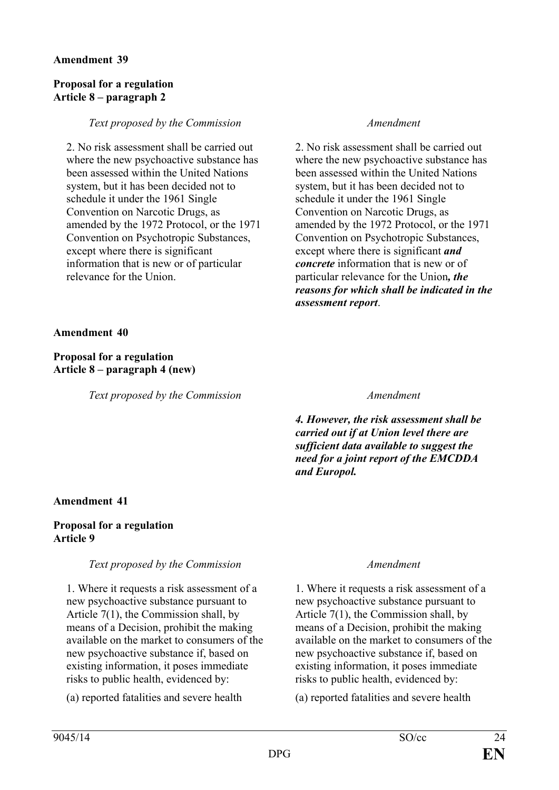## **Proposal for a regulation Article 8 – paragraph 2**

### *Text proposed by the Commission Amendment*

2. No risk assessment shall be carried out where the new psychoactive substance has been assessed within the United Nations system, but it has been decided not to schedule it under the 1961 Single Convention on Narcotic Drugs, as amended by the 1972 Protocol, or the 1971 Convention on Psychotropic Substances, except where there is significant information that is new or of particular relevance for the Union.

2. No risk assessment shall be carried out where the new psychoactive substance has been assessed within the United Nations system, but it has been decided not to schedule it under the 1961 Single Convention on Narcotic Drugs, as amended by the 1972 Protocol, or the 1971 Convention on Psychotropic Substances, except where there is significant *and concrete* information that is new or of particular relevance for the Union*, the reasons for which shall be indicated in the assessment report*.

**Amendment 40**

**Proposal for a regulation Article 8 – paragraph 4 (new)**

*Text proposed by the Commission Amendment*

*4. However, the risk assessment shall be carried out if at Union level there are sufficient data available to suggest the need for a joint report of the EMCDDA and Europol.*

# **Amendment 41**

## **Proposal for a regulation Article 9**

# *Text proposed by the Commission Amendment*

1. Where it requests a risk assessment of a new psychoactive substance pursuant to Article 7(1), the Commission shall, by means of a Decision, prohibit the making available on the market to consumers of the new psychoactive substance if, based on existing information, it poses immediate risks to public health, evidenced by:

(a) reported fatalities and severe health (a) reported fatalities and severe health

1. Where it requests a risk assessment of a new psychoactive substance pursuant to Article 7(1), the Commission shall, by means of a Decision, prohibit the making available on the market to consumers of the new psychoactive substance if, based on existing information, it poses immediate risks to public health, evidenced by: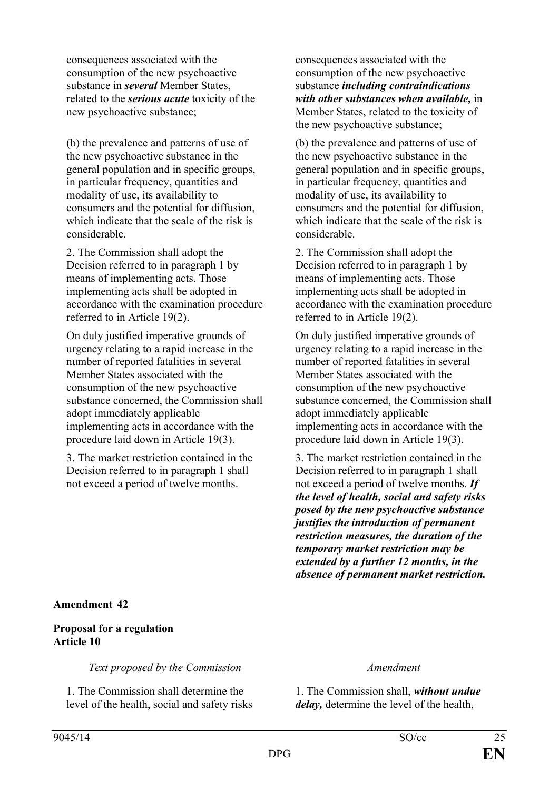consequences associated with the consumption of the new psychoactive substance in *several* Member States, related to the *serious acute* toxicity of the new psychoactive substance;

(b) the prevalence and patterns of use of the new psychoactive substance in the general population and in specific groups, in particular frequency, quantities and modality of use, its availability to consumers and the potential for diffusion, which indicate that the scale of the risk is considerable.

2. The Commission shall adopt the Decision referred to in paragraph 1 by means of implementing acts. Those implementing acts shall be adopted in accordance with the examination procedure referred to in Article 19(2).

On duly justified imperative grounds of urgency relating to a rapid increase in the number of reported fatalities in several Member States associated with the consumption of the new psychoactive substance concerned, the Commission shall adopt immediately applicable implementing acts in accordance with the procedure laid down in Article 19(3).

3. The market restriction contained in the Decision referred to in paragraph 1 shall not exceed a period of twelve months.

consequences associated with the consumption of the new psychoactive substance *including contraindications with other substances when available,* in Member States, related to the toxicity of the new psychoactive substance;

(b) the prevalence and patterns of use of the new psychoactive substance in the general population and in specific groups, in particular frequency, quantities and modality of use, its availability to consumers and the potential for diffusion, which indicate that the scale of the risk is considerable.

2. The Commission shall adopt the Decision referred to in paragraph 1 by means of implementing acts. Those implementing acts shall be adopted in accordance with the examination procedure referred to in Article 19(2).

On duly justified imperative grounds of urgency relating to a rapid increase in the number of reported fatalities in several Member States associated with the consumption of the new psychoactive substance concerned, the Commission shall adopt immediately applicable implementing acts in accordance with the procedure laid down in Article 19(3).

3. The market restriction contained in the Decision referred to in paragraph 1 shall not exceed a period of twelve months. *If the level of health, social and safety risks posed by the new psychoactive substance justifies the introduction of permanent restriction measures, the duration of the temporary market restriction may be extended by a further 12 months, in the absence of permanent market restriction.*

# **Amendment 42**

## **Proposal for a regulation Article 10**

*Text proposed by the Commission Amendment*

1. The Commission shall determine the level of the health, social and safety risks

1. The Commission shall, *without undue delay,* determine the level of the health,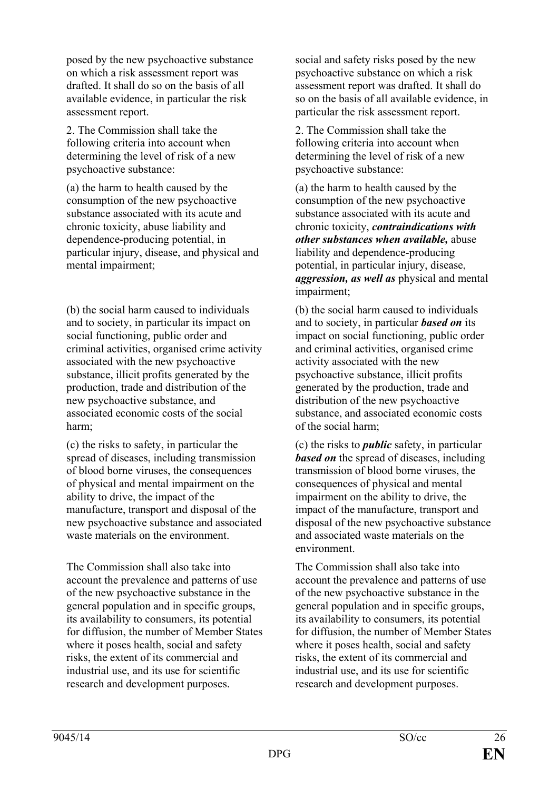posed by the new psychoactive substance on which a risk assessment report was drafted. It shall do so on the basis of all available evidence, in particular the risk assessment report.

2. The Commission shall take the following criteria into account when determining the level of risk of a new psychoactive substance:

(a) the harm to health caused by the consumption of the new psychoactive substance associated with its acute and chronic toxicity, abuse liability and dependence-producing potential, in particular injury, disease, and physical and mental impairment;

(b) the social harm caused to individuals and to society, in particular its impact on social functioning, public order and criminal activities, organised crime activity associated with the new psychoactive substance, illicit profits generated by the production, trade and distribution of the new psychoactive substance, and associated economic costs of the social harm;

(c) the risks to safety, in particular the spread of diseases, including transmission of blood borne viruses, the consequences of physical and mental impairment on the ability to drive, the impact of the manufacture, transport and disposal of the new psychoactive substance and associated waste materials on the environment.

The Commission shall also take into account the prevalence and patterns of use of the new psychoactive substance in the general population and in specific groups, its availability to consumers, its potential for diffusion, the number of Member States where it poses health, social and safety risks, the extent of its commercial and industrial use, and its use for scientific research and development purposes.

social and safety risks posed by the new psychoactive substance on which a risk assessment report was drafted. It shall do so on the basis of all available evidence, in particular the risk assessment report.

2. The Commission shall take the following criteria into account when determining the level of risk of a new psychoactive substance:

(a) the harm to health caused by the consumption of the new psychoactive substance associated with its acute and chronic toxicity, *contraindications with other substances when available,* abuse liability and dependence-producing potential, in particular injury, disease, *aggression, as well as* physical and mental impairment;

(b) the social harm caused to individuals and to society, in particular *based on* its impact on social functioning, public order and criminal activities, organised crime activity associated with the new psychoactive substance, illicit profits generated by the production, trade and distribution of the new psychoactive substance, and associated economic costs of the social harm;

(c) the risks to *public* safety, in particular *based on* the spread of diseases, including transmission of blood borne viruses, the consequences of physical and mental impairment on the ability to drive, the impact of the manufacture, transport and disposal of the new psychoactive substance and associated waste materials on the environment.

The Commission shall also take into account the prevalence and patterns of use of the new psychoactive substance in the general population and in specific groups, its availability to consumers, its potential for diffusion, the number of Member States where it poses health, social and safety risks, the extent of its commercial and industrial use, and its use for scientific research and development purposes.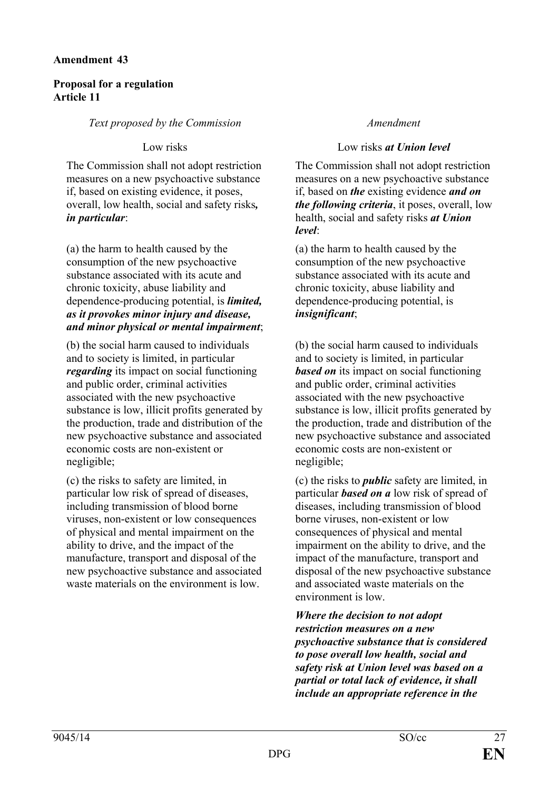# **Proposal for a regulation Article 11**

## *Text proposed by the Commission Amendment*

The Commission shall not adopt restriction measures on a new psychoactive substance if, based on existing evidence, it poses, overall, low health, social and safety risks*, in particular*:

(a) the harm to health caused by the consumption of the new psychoactive substance associated with its acute and chronic toxicity, abuse liability and dependence-producing potential, is *limited, as it provokes minor injury and disease, and minor physical or mental impairment*;

(b) the social harm caused to individuals and to society is limited, in particular *regarding* its impact on social functioning and public order, criminal activities associated with the new psychoactive substance is low, illicit profits generated by the production, trade and distribution of the new psychoactive substance and associated economic costs are non-existent or negligible;

(c) the risks to safety are limited, in particular low risk of spread of diseases, including transmission of blood borne viruses, non-existent or low consequences of physical and mental impairment on the ability to drive, and the impact of the manufacture, transport and disposal of the new psychoactive substance and associated waste materials on the environment is low.

## Low risks Low risks *at Union level*

The Commission shall not adopt restriction measures on a new psychoactive substance if, based on *the* existing evidence *and on the following criteria*, it poses, overall, low health, social and safety risks *at Union level*:

(a) the harm to health caused by the consumption of the new psychoactive substance associated with its acute and chronic toxicity, abuse liability and dependence-producing potential, is *insignificant*;

(b) the social harm caused to individuals and to society is limited, in particular *based on* its impact on social functioning and public order, criminal activities associated with the new psychoactive substance is low, illicit profits generated by the production, trade and distribution of the new psychoactive substance and associated economic costs are non-existent or negligible;

(c) the risks to *public* safety are limited, in particular *based on a* low risk of spread of diseases, including transmission of blood borne viruses, non-existent or low consequences of physical and mental impairment on the ability to drive, and the impact of the manufacture, transport and disposal of the new psychoactive substance and associated waste materials on the environment is low.

*Where the decision to not adopt restriction measures on a new psychoactive substance that is considered to pose overall low health, social and safety risk at Union level was based on a partial or total lack of evidence, it shall include an appropriate reference in the*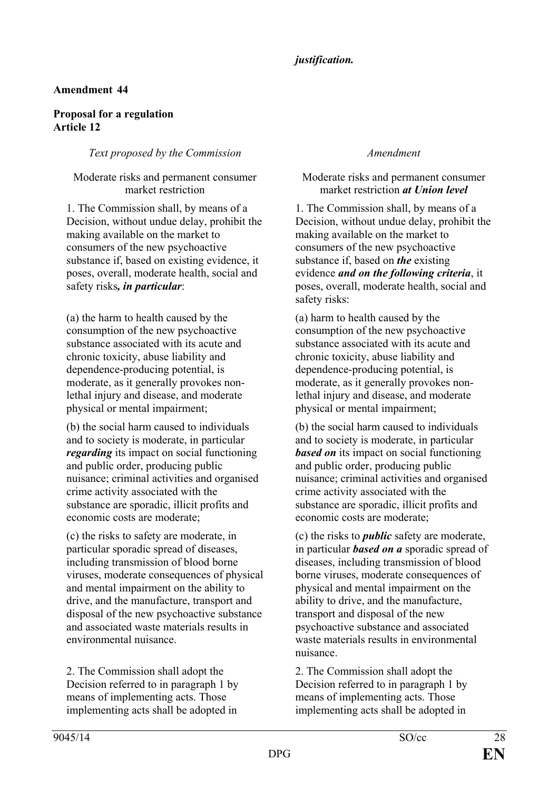# *justification.*

# **Amendment 44**

# **Proposal for a regulation Article 12**

# *Text proposed by the Commission Amendment*

## Moderate risks and permanent consumer market restriction

1. The Commission shall, by means of a Decision, without undue delay, prohibit the making available on the market to consumers of the new psychoactive substance if, based on existing evidence, it poses, overall, moderate health, social and safety risks*, in particular*:

(a) the harm to health caused by the consumption of the new psychoactive substance associated with its acute and chronic toxicity, abuse liability and dependence-producing potential, is moderate, as it generally provokes nonlethal injury and disease, and moderate physical or mental impairment;

(b) the social harm caused to individuals and to society is moderate, in particular *regarding* its impact on social functioning and public order, producing public nuisance; criminal activities and organised crime activity associated with the substance are sporadic, illicit profits and economic costs are moderate;

(c) the risks to safety are moderate, in particular sporadic spread of diseases, including transmission of blood borne viruses, moderate consequences of physical and mental impairment on the ability to drive, and the manufacture, transport and disposal of the new psychoactive substance and associated waste materials results in environmental nuisance.

2. The Commission shall adopt the Decision referred to in paragraph 1 by means of implementing acts. Those implementing acts shall be adopted in

### Moderate risks and permanent consumer market restriction *at Union level*

1. The Commission shall, by means of a Decision, without undue delay, prohibit the making available on the market to consumers of the new psychoactive substance if, based on *the* existing evidence *and on the following criteria*, it poses, overall, moderate health, social and safety risks:

(a) harm to health caused by the consumption of the new psychoactive substance associated with its acute and chronic toxicity, abuse liability and dependence-producing potential, is moderate, as it generally provokes nonlethal injury and disease, and moderate physical or mental impairment;

(b) the social harm caused to individuals and to society is moderate, in particular *based on* its impact on social functioning and public order, producing public nuisance; criminal activities and organised crime activity associated with the substance are sporadic, illicit profits and economic costs are moderate;

(c) the risks to *public* safety are moderate, in particular *based on a* sporadic spread of diseases, including transmission of blood borne viruses, moderate consequences of physical and mental impairment on the ability to drive, and the manufacture, transport and disposal of the new psychoactive substance and associated waste materials results in environmental nuisance.

2. The Commission shall adopt the Decision referred to in paragraph 1 by means of implementing acts. Those implementing acts shall be adopted in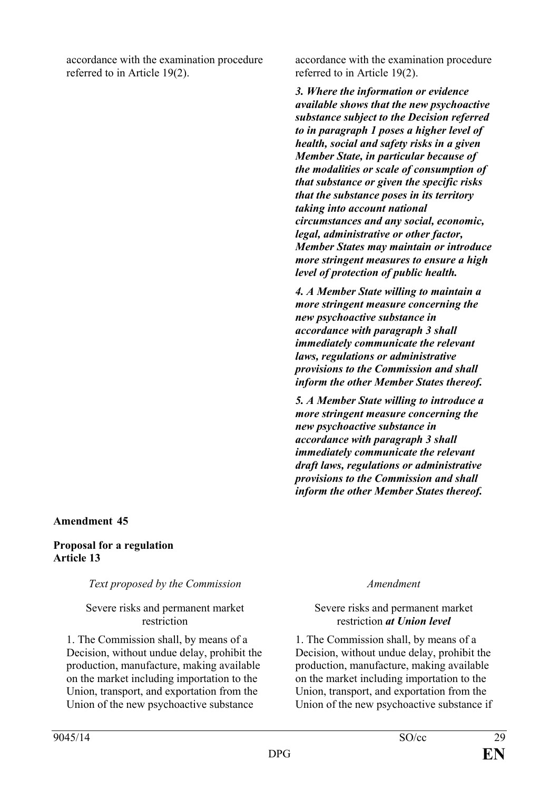accordance with the examination procedure referred to in Article 19(2).

## **Amendment 45**

### **Proposal for a regulation Article 13**

## *Text proposed by the Commission Amendment*

### Severe risks and permanent market restriction

1. The Commission shall, by means of a Decision, without undue delay, prohibit the production, manufacture, making available on the market including importation to the Union, transport, and exportation from the Union of the new psychoactive substance

accordance with the examination procedure referred to in Article 19(2).

*3. Where the information or evidence available shows that the new psychoactive substance subject to the Decision referred to in paragraph 1 poses a higher level of health, social and safety risks in a given Member State, in particular because of the modalities or scale of consumption of that substance or given the specific risks that the substance poses in its territory taking into account national circumstances and any social, economic, legal, administrative or other factor, Member States may maintain or introduce more stringent measures to ensure a high level of protection of public health.*

*4. A Member State willing to maintain a more stringent measure concerning the new psychoactive substance in accordance with paragraph 3 shall immediately communicate the relevant laws, regulations or administrative provisions to the Commission and shall inform the other Member States thereof.*

*5. A Member State willing to introduce a more stringent measure concerning the new psychoactive substance in accordance with paragraph 3 shall immediately communicate the relevant draft laws, regulations or administrative provisions to the Commission and shall inform the other Member States thereof.*

### Severe risks and permanent market restriction *at Union level*

1. The Commission shall, by means of a Decision, without undue delay, prohibit the production, manufacture, making available on the market including importation to the Union, transport, and exportation from the Union of the new psychoactive substance if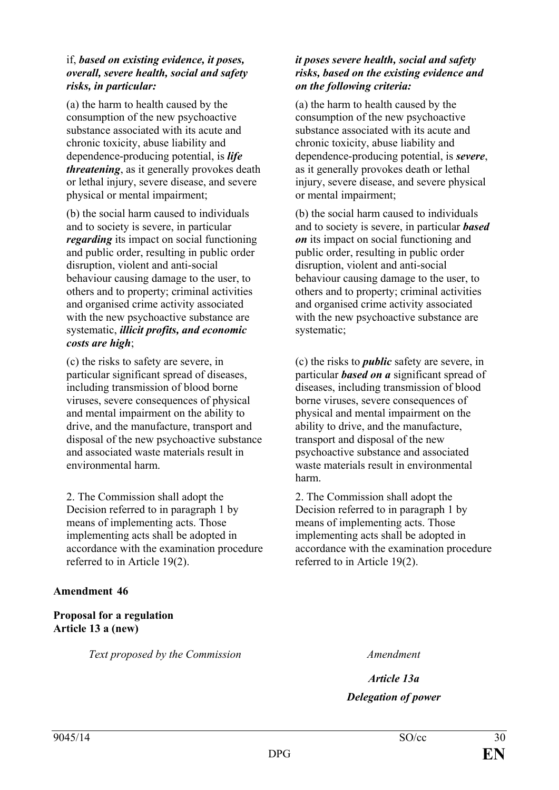## if, *based on existing evidence, it poses, overall, severe health, social and safety risks, in particular:*

(a) the harm to health caused by the consumption of the new psychoactive substance associated with its acute and chronic toxicity, abuse liability and dependence-producing potential, is *life threatening*, as it generally provokes death or lethal injury, severe disease, and severe physical or mental impairment;

(b) the social harm caused to individuals and to society is severe, in particular *regarding* its impact on social functioning and public order, resulting in public order disruption, violent and anti-social behaviour causing damage to the user, to others and to property; criminal activities and organised crime activity associated with the new psychoactive substance are systematic, *illicit profits, and economic costs are high*;

(c) the risks to safety are severe, in particular significant spread of diseases, including transmission of blood borne viruses, severe consequences of physical and mental impairment on the ability to drive, and the manufacture, transport and disposal of the new psychoactive substance and associated waste materials result in environmental harm.

2. The Commission shall adopt the Decision referred to in paragraph 1 by means of implementing acts. Those implementing acts shall be adopted in accordance with the examination procedure referred to in Article 19(2).

## **Amendment 46**

**Proposal for a regulation Article 13 a (new)**

*Text proposed by the Commission Amendment*

### *it poses severe health, social and safety risks, based on the existing evidence and on the following criteria:*

(a) the harm to health caused by the consumption of the new psychoactive substance associated with its acute and chronic toxicity, abuse liability and dependence-producing potential, is *severe*, as it generally provokes death or lethal injury, severe disease, and severe physical or mental impairment;

(b) the social harm caused to individuals and to society is severe, in particular *based on* its impact on social functioning and public order, resulting in public order disruption, violent and anti-social behaviour causing damage to the user, to others and to property; criminal activities and organised crime activity associated with the new psychoactive substance are systematic;

(c) the risks to *public* safety are severe, in particular *based on a* significant spread of diseases, including transmission of blood borne viruses, severe consequences of physical and mental impairment on the ability to drive, and the manufacture, transport and disposal of the new psychoactive substance and associated waste materials result in environmental harm.

2. The Commission shall adopt the Decision referred to in paragraph 1 by means of implementing acts. Those implementing acts shall be adopted in accordance with the examination procedure referred to in Article 19(2).

*Article 13a Delegation of power*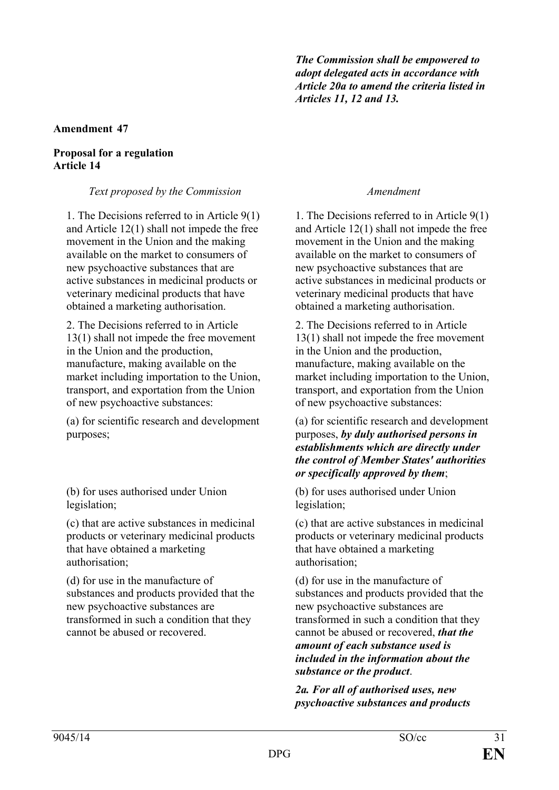*The Commission shall be empowered to adopt delegated acts in accordance with Article 20a to amend the criteria listed in Articles 11, 12 and 13.*

## **Amendment 47**

#### **Proposal for a regulation Article 14**

*Text proposed by the Commission Amendment*

1. The Decisions referred to in Article 9(1) and Article 12(1) shall not impede the free movement in the Union and the making available on the market to consumers of new psychoactive substances that are active substances in medicinal products or veterinary medicinal products that have obtained a marketing authorisation.

2. The Decisions referred to in Article 13(1) shall not impede the free movement in the Union and the production, manufacture, making available on the market including importation to the Union, transport, and exportation from the Union of new psychoactive substances:

(a) for scientific research and development purposes;

(b) for uses authorised under Union legislation;

(c) that are active substances in medicinal products or veterinary medicinal products that have obtained a marketing authorisation;

(d) for use in the manufacture of substances and products provided that the new psychoactive substances are transformed in such a condition that they cannot be abused or recovered.

1. The Decisions referred to in Article 9(1) and Article 12(1) shall not impede the free movement in the Union and the making available on the market to consumers of new psychoactive substances that are active substances in medicinal products or veterinary medicinal products that have obtained a marketing authorisation.

2. The Decisions referred to in Article 13(1) shall not impede the free movement in the Union and the production, manufacture, making available on the market including importation to the Union, transport, and exportation from the Union of new psychoactive substances:

(a) for scientific research and development purposes, *by duly authorised persons in establishments which are directly under the control of Member States' authorities or specifically approved by them*;

(b) for uses authorised under Union legislation;

(c) that are active substances in medicinal products or veterinary medicinal products that have obtained a marketing authorisation;

(d) for use in the manufacture of substances and products provided that the new psychoactive substances are transformed in such a condition that they cannot be abused or recovered, *that the amount of each substance used is included in the information about the substance or the product*.

*2a. For all of authorised uses, new psychoactive substances and products*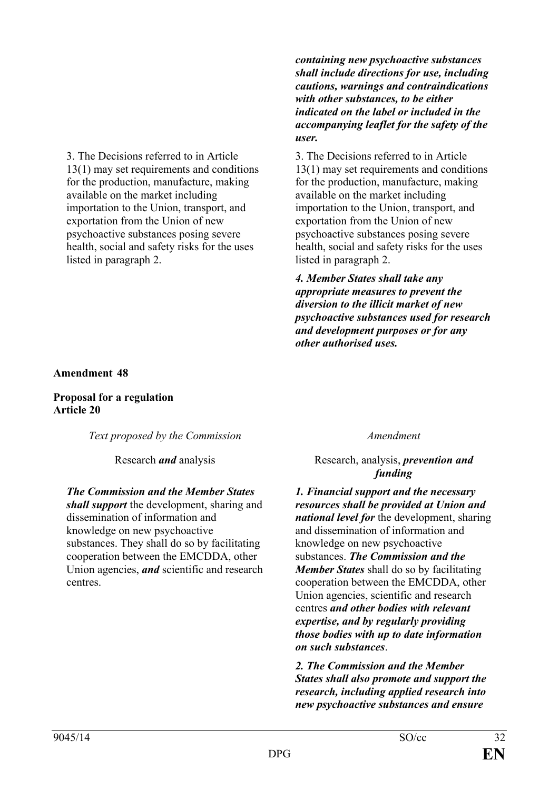3. The Decisions referred to in Article 13(1) may set requirements and conditions for the production, manufacture, making available on the market including importation to the Union, transport, and exportation from the Union of new psychoactive substances posing severe health, social and safety risks for the uses listed in paragraph 2.

*containing new psychoactive substances shall include directions for use, including cautions, warnings and contraindications with other substances, to be either indicated on the label or included in the accompanying leaflet for the safety of the user.*

3. The Decisions referred to in Article 13(1) may set requirements and conditions for the production, manufacture, making available on the market including importation to the Union, transport, and exportation from the Union of new psychoactive substances posing severe health, social and safety risks for the uses listed in paragraph 2.

*4. Member States shall take any appropriate measures to prevent the diversion to the illicit market of new psychoactive substances used for research and development purposes or for any other authorised uses.*

## **Amendment 48**

**Proposal for a regulation Article 20**

*Text proposed by the Commission Amendment*

#### *The Commission and the Member States*

*shall support* the development, sharing and dissemination of information and knowledge on new psychoactive substances. They shall do so by facilitating cooperation between the EMCDDA, other Union agencies, *and* scientific and research centres.

# Research *and* analysis Research, analysis, *prevention and funding*

*1. Financial support and the necessary resources shall be provided at Union and national level for* the development, sharing and dissemination of information and knowledge on new psychoactive substances. *The Commission and the Member States* shall do so by facilitating cooperation between the EMCDDA, other Union agencies, scientific and research centres *and other bodies with relevant expertise, and by regularly providing those bodies with up to date information on such substances*.

*2. The Commission and the Member States shall also promote and support the research, including applied research into new psychoactive substances and ensure*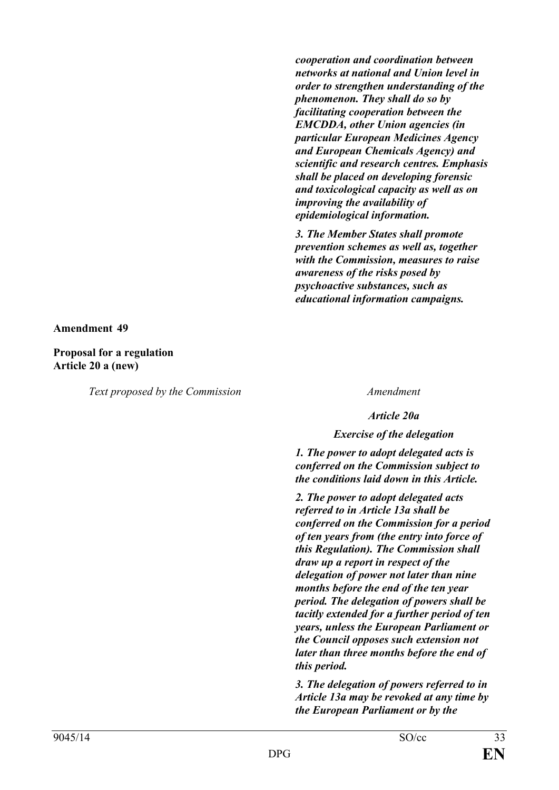*cooperation and coordination between networks at national and Union level in order to strengthen understanding of the phenomenon. They shall do so by facilitating cooperation between the EMCDDA, other Union agencies (in particular European Medicines Agency and European Chemicals Agency) and scientific and research centres. Emphasis shall be placed on developing forensic and toxicological capacity as well as on improving the availability of epidemiological information.*

*3. The Member States shall promote prevention schemes as well as, together with the Commission, measures to raise awareness of the risks posed by psychoactive substances, such as educational information campaigns.*

**Amendment 49**

**Proposal for a regulation Article 20 a (new)**

*Text proposed by the Commission Amendment*

*Article 20a*

## *Exercise of the delegation*

*1. The power to adopt delegated acts is conferred on the Commission subject to the conditions laid down in this Article.*

*2. The power to adopt delegated acts referred to in Article 13a shall be conferred on the Commission for a period of ten years from (the entry into force of this Regulation). The Commission shall draw up a report in respect of the delegation of power not later than nine months before the end of the ten year period. The delegation of powers shall be tacitly extended for a further period of ten years, unless the European Parliament or the Council opposes such extension not later than three months before the end of this period.*

*3. The delegation of powers referred to in Article 13a may be revoked at any time by the European Parliament or by the*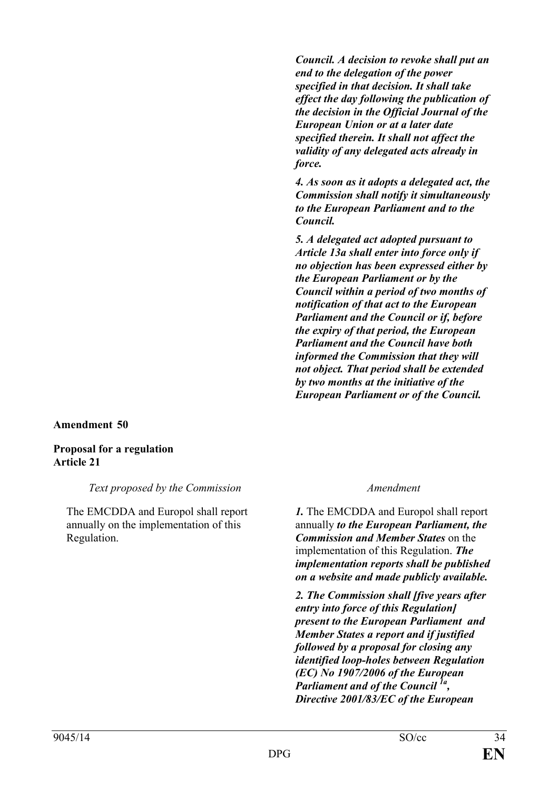*Council. A decision to revoke shall put an end to the delegation of the power specified in that decision. It shall take effect the day following the publication of the decision in the Official Journal of the European Union or at a later date specified therein. It shall not affect the validity of any delegated acts already in force.*

*4. As soon as it adopts a delegated act, the Commission shall notify it simultaneously to the European Parliament and to the Council.*

*5. A delegated act adopted pursuant to Article 13a shall enter into force only if no objection has been expressed either by the European Parliament or by the Council within a period of two months of notification of that act to the European Parliament and the Council or if, before the expiry of that period, the European Parliament and the Council have both informed the Commission that they will not object. That period shall be extended by two months at the initiative of the European Parliament or of the Council.*

## **Amendment 50**

# **Proposal for a regulation Article 21**

## *Text proposed by the Commission Amendment*

The EMCDDA and Europol shall report annually on the implementation of this Regulation.

*1.* The EMCDDA and Europol shall report annually *to the European Parliament, the Commission and Member States* on the implementation of this Regulation. *The implementation reports shall be published on a website and made publicly available.*

*2. The Commission shall [five years after entry into force of this Regulation] present to the European Parliament and Member States a report and if justified followed by a proposal for closing any identified loop-holes between Regulation (EC) No 1907/2006 of the European Parliament and of the Council 1a, Directive 2001/83/EC of the European*